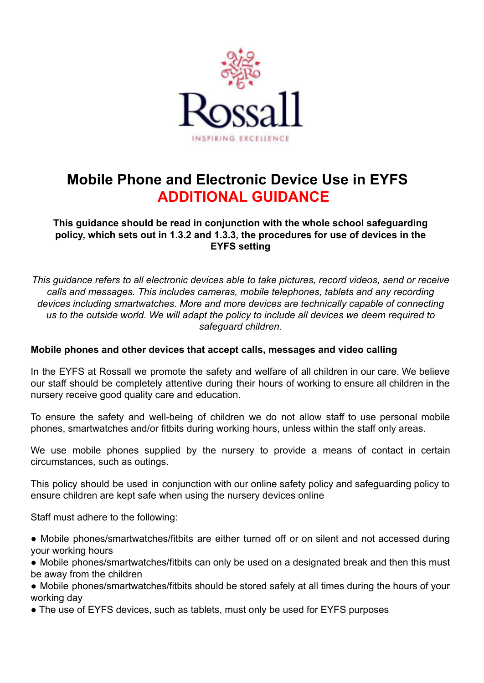

# **Mobile Phone and Electronic Device Use in EYFS ADDITIONAL GUIDANCE**

**This guidance should be read in conjunction with the whole school safeguarding policy, which sets out in 1.3.2 and 1.3.3, the procedures for use of devices in the EYFS setting**

*This guidance refers to all electronic devices able to take pictures, record videos, send or receive calls and messages. This includes cameras, mobile telephones, tablets and any recording devices including smartwatches. More and more devices are technically capable of connecting us to the outside world. We will adapt the policy to include all devices we deem required to safeguard children.*

## **Mobile phones and other devices that accept calls, messages and video calling**

In the EYFS at Rossall we promote the safety and welfare of all children in our care. We believe our staff should be completely attentive during their hours of working to ensure all children in the nursery receive good quality care and education.

To ensure the safety and well-being of children we do not allow staff to use personal mobile phones, smartwatches and/or fitbits during working hours, unless within the staff only areas.

We use mobile phones supplied by the nursery to provide a means of contact in certain circumstances, such as outings.

This policy should be used in conjunction with our online safety policy and safeguarding policy to ensure children are kept safe when using the nursery devices online

Staff must adhere to the following:

- Mobile phones/smartwatches/fitbits are either turned off or on silent and not accessed during your working hours
- Mobile phones/smartwatches/fitbits can only be used on a designated break and then this must be away from the children
- Mobile phones/smartwatches/fitbits should be stored safely at all times during the hours of your working day
- The use of EYFS devices, such as tablets, must only be used for EYFS purposes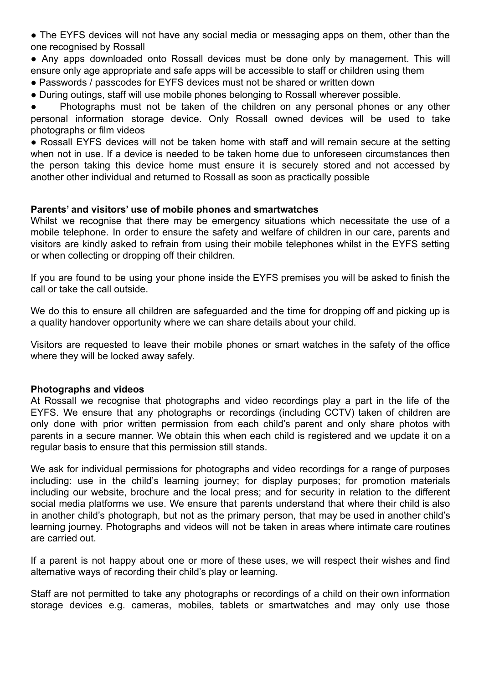• The EYFS devices will not have any social media or messaging apps on them, other than the one recognised by Rossall

• Any apps downloaded onto Rossall devices must be done only by management. This will ensure only age appropriate and safe apps will be accessible to staff or children using them

- Passwords / passcodes for EYFS devices must not be shared or written down
- During outings, staff will use mobile phones belonging to Rossall wherever possible.

Photographs must not be taken of the children on any personal phones or any other personal information storage device. Only Rossall owned devices will be used to take photographs or film videos

• Rossall EYFS devices will not be taken home with staff and will remain secure at the setting when not in use. If a device is needed to be taken home due to unforeseen circumstances then the person taking this device home must ensure it is securely stored and not accessed by another other individual and returned to Rossall as soon as practically possible

## **Parents' and visitors' use of mobile phones and smartwatches**

Whilst we recognise that there may be emergency situations which necessitate the use of a mobile telephone. In order to ensure the safety and welfare of children in our care, parents and visitors are kindly asked to refrain from using their mobile telephones whilst in the EYFS setting or when collecting or dropping off their children.

If you are found to be using your phone inside the EYFS premises you will be asked to finish the call or take the call outside.

We do this to ensure all children are safeguarded and the time for dropping off and picking up is a quality handover opportunity where we can share details about your child.

Visitors are requested to leave their mobile phones or smart watches in the safety of the office where they will be locked away safely.

#### **Photographs and videos**

At Rossall we recognise that photographs and video recordings play a part in the life of the EYFS. We ensure that any photographs or recordings (including CCTV) taken of children are only done with prior written permission from each child's parent and only share photos with parents in a secure manner. We obtain this when each child is registered and we update it on a regular basis to ensure that this permission still stands.

We ask for individual permissions for photographs and video recordings for a range of purposes including: use in the child's learning journey; for display purposes; for promotion materials including our website, brochure and the local press; and for security in relation to the different social media platforms we use. We ensure that parents understand that where their child is also in another child's photograph, but not as the primary person, that may be used in another child's learning journey. Photographs and videos will not be taken in areas where intimate care routines are carried out.

If a parent is not happy about one or more of these uses, we will respect their wishes and find alternative ways of recording their child's play or learning.

Staff are not permitted to take any photographs or recordings of a child on their own information storage devices e.g. cameras, mobiles, tablets or smartwatches and may only use those